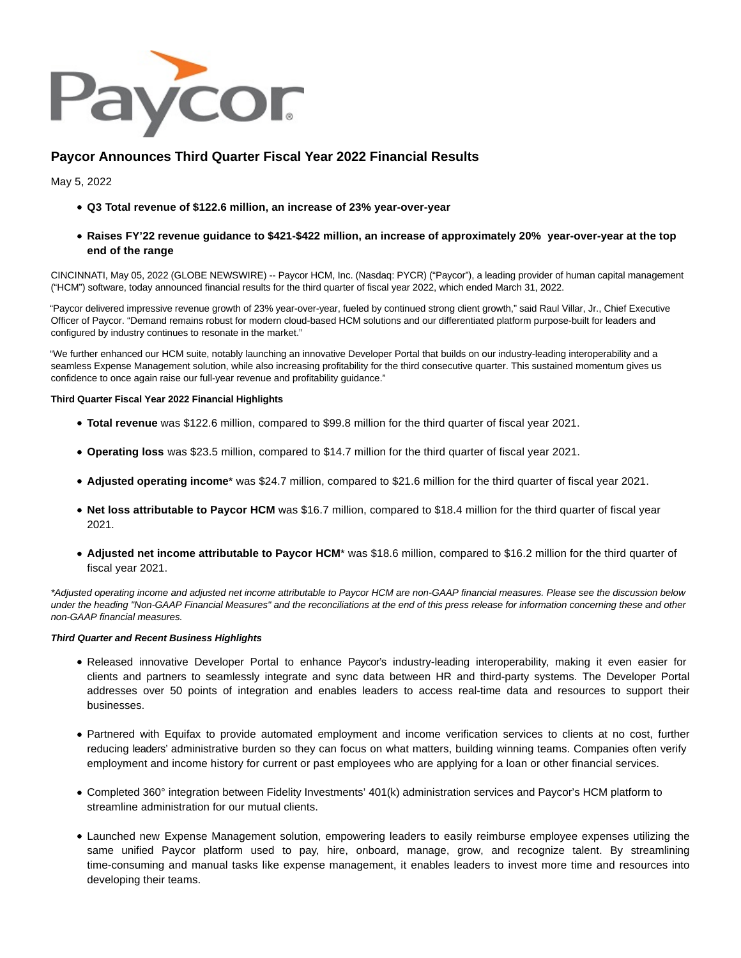

# **Paycor Announces Third Quarter Fiscal Year 2022 Financial Results**

May 5, 2022

- **Q3 Total revenue of \$122.6 million, an increase of 23% year-over-year**
- **Raises FY'22 revenue guidance to \$421-\$422 million, an increase of approximately 20% year-over-year at the top end of the range**

CINCINNATI, May 05, 2022 (GLOBE NEWSWIRE) -- Paycor HCM, Inc. (Nasdaq: PYCR) ("Paycor"), a leading provider of human capital management ("HCM") software, today announced financial results for the third quarter of fiscal year 2022, which ended March 31, 2022.

"Paycor delivered impressive revenue growth of 23% year-over-year, fueled by continued strong client growth," said Raul Villar, Jr., Chief Executive Officer of Paycor. "Demand remains robust for modern cloud-based HCM solutions and our differentiated platform purpose-built for leaders and configured by industry continues to resonate in the market."

"We further enhanced our HCM suite, notably launching an innovative Developer Portal that builds on our industry-leading interoperability and a seamless Expense Management solution, while also increasing profitability for the third consecutive quarter. This sustained momentum gives us confidence to once again raise our full-year revenue and profitability guidance."

# **Third Quarter Fiscal Year 2022 Financial Highlights**

- **Total revenue** was \$122.6 million, compared to \$99.8 million for the third quarter of fiscal year 2021.
- **Operating loss** was \$23.5 million, compared to \$14.7 million for the third quarter of fiscal year 2021.
- **Adjusted operating income**\* was \$24.7 million, compared to \$21.6 million for the third quarter of fiscal year 2021.
- **Net loss attributable to Paycor HCM** was \$16.7 million, compared to \$18.4 million for the third quarter of fiscal year 2021.
- **Adjusted net income attributable to Paycor HCM**\* was \$18.6 million, compared to \$16.2 million for the third quarter of fiscal year 2021.

\*Adjusted operating income and adjusted net income attributable to Paycor HCM are non-GAAP financial measures. Please see the discussion below under the heading "Non-GAAP Financial Measures" and the reconciliations at the end of this press release for information concerning these and other non-GAAP financial measures.

## **Third Quarter and Recent Business Highlights**

- Released innovative Developer Portal to enhance Paycor's industry-leading interoperability, making it even easier for clients and partners to seamlessly integrate and sync data between HR and third-party systems. The Developer Portal addresses over 50 points of integration and enables leaders to access real-time data and resources to support their businesses.
- Partnered with Equifax to provide automated employment and income verification services to clients at no cost, further reducing leaders' administrative burden so they can focus on what matters, building winning teams. Companies often verify employment and income history for current or past employees who are applying for a loan or other financial services.
- Completed 360° integration between Fidelity Investments' 401(k) administration services and Paycor's HCM platform to streamline administration for our mutual clients.
- Launched new Expense Management solution, empowering leaders to easily reimburse employee expenses utilizing the same unified Paycor platform used to pay, hire, onboard, manage, grow, and recognize talent. By streamlining time-consuming and manual tasks like expense management, it enables leaders to invest more time and resources into developing their teams.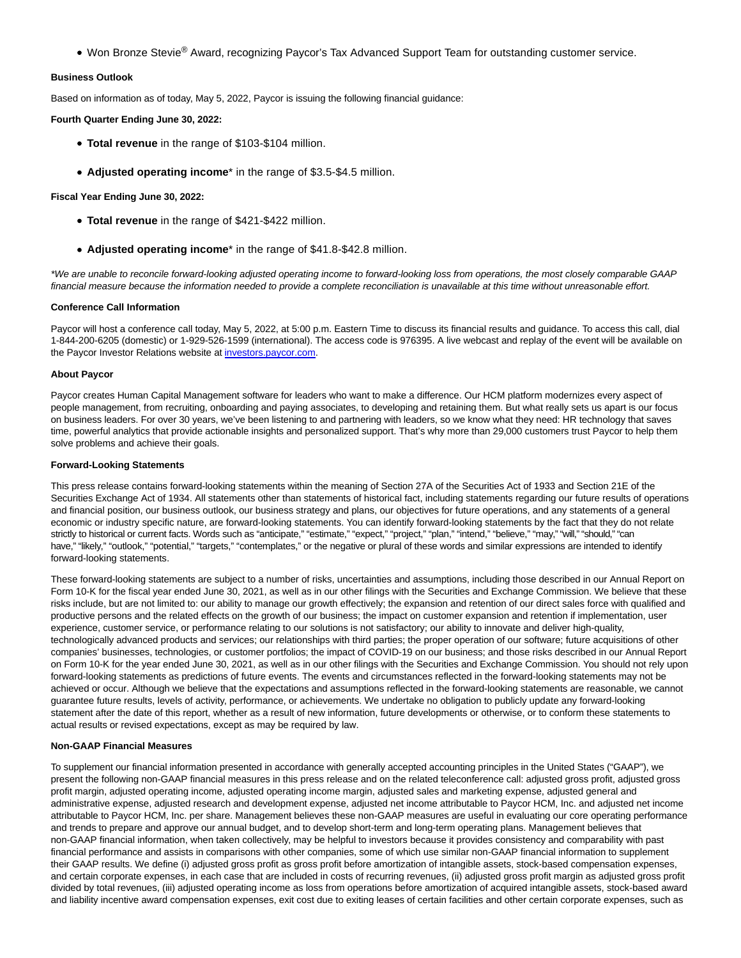● Won Bronze Stevie<sup>®</sup> Award, recognizing Paycor's Tax Advanced Support Team for outstanding customer service.

# **Business Outlook**

Based on information as of today, May 5, 2022, Paycor is issuing the following financial guidance:

#### **Fourth Quarter Ending June 30, 2022:**

- **Total revenue** in the range of \$103-\$104 million.
- **Adjusted operating income**\* in the range of \$3.5-\$4.5 million.

### **Fiscal Year Ending June 30, 2022:**

- **Total revenue** in the range of \$421-\$422 million.
- **Adjusted operating income**\* in the range of \$41.8-\$42.8 million.

\*We are unable to reconcile forward-looking adjusted operating income to forward-looking loss from operations, the most closely comparable GAAP financial measure because the information needed to provide a complete reconciliation is unavailable at this time without unreasonable effort.

#### **Conference Call Information**

Paycor will host a conference call today, May 5, 2022, at 5:00 p.m. Eastern Time to discuss its financial results and guidance. To access this call, dial 1-844-200-6205 (domestic) or 1-929-526-1599 (international). The access code is 976395. A live webcast and replay of the event will be available on the Paycor Investor Relations website at [investors.paycor.com.](https://www.globenewswire.com/Tracker?data=d5J0WjcxY7V0vrBQjz4rCWYs40PuZVK0Rj5iHOTcR-gY3ggnCKl98bxSFh2OpDHOTcSd37pXrrACWvLU55mjw41cP05vrjPEUNaw3qoFibI=)

#### **About Paycor**

Paycor creates Human Capital Management software for leaders who want to make a difference. Our HCM platform modernizes every aspect of people management, from recruiting, onboarding and paying associates, to developing and retaining them. But what really sets us apart is our focus on business leaders. For over 30 years, we've been listening to and partnering with leaders, so we know what they need: HR technology that saves time, powerful analytics that provide actionable insights and personalized support. That's why more than 29,000 customers trust Paycor to help them solve problems and achieve their goals.

#### **Forward-Looking Statements**

This press release contains forward-looking statements within the meaning of Section 27A of the Securities Act of 1933 and Section 21E of the Securities Exchange Act of 1934. All statements other than statements of historical fact, including statements regarding our future results of operations and financial position, our business outlook, our business strategy and plans, our objectives for future operations, and any statements of a general economic or industry specific nature, are forward-looking statements. You can identify forward-looking statements by the fact that they do not relate strictly to historical or current facts. Words such as "anticipate," "estimate," "expect," "project," "plan," "intend," "believe," "may," "will," "should," "can have," "likely," "outlook," "potential," "targets," "contemplates," or the negative or plural of these words and similar expressions are intended to identify forward-looking statements.

These forward-looking statements are subject to a number of risks, uncertainties and assumptions, including those described in our Annual Report on Form 10-K for the fiscal year ended June 30, 2021, as well as in our other filings with the Securities and Exchange Commission. We believe that these risks include, but are not limited to: our ability to manage our growth effectively; the expansion and retention of our direct sales force with qualified and productive persons and the related effects on the growth of our business; the impact on customer expansion and retention if implementation, user experience, customer service, or performance relating to our solutions is not satisfactory; our ability to innovate and deliver high-quality, technologically advanced products and services; our relationships with third parties; the proper operation of our software; future acquisitions of other companies' businesses, technologies, or customer portfolios; the impact of COVID-19 on our business; and those risks described in our Annual Report on Form 10-K for the year ended June 30, 2021, as well as in our other filings with the Securities and Exchange Commission. You should not rely upon forward-looking statements as predictions of future events. The events and circumstances reflected in the forward-looking statements may not be achieved or occur. Although we believe that the expectations and assumptions reflected in the forward-looking statements are reasonable, we cannot guarantee future results, levels of activity, performance, or achievements. We undertake no obligation to publicly update any forward-looking statement after the date of this report, whether as a result of new information, future developments or otherwise, or to conform these statements to actual results or revised expectations, except as may be required by law.

## **Non-GAAP Financial Measures**

To supplement our financial information presented in accordance with generally accepted accounting principles in the United States ("GAAP"), we present the following non-GAAP financial measures in this press release and on the related teleconference call: adjusted gross profit, adjusted gross profit margin, adjusted operating income, adjusted operating income margin, adjusted sales and marketing expense, adjusted general and administrative expense, adjusted research and development expense, adjusted net income attributable to Paycor HCM, Inc. and adjusted net income attributable to Paycor HCM, Inc. per share. Management believes these non-GAAP measures are useful in evaluating our core operating performance and trends to prepare and approve our annual budget, and to develop short-term and long-term operating plans. Management believes that non-GAAP financial information, when taken collectively, may be helpful to investors because it provides consistency and comparability with past financial performance and assists in comparisons with other companies, some of which use similar non-GAAP financial information to supplement their GAAP results. We define (i) adjusted gross profit as gross profit before amortization of intangible assets, stock-based compensation expenses, and certain corporate expenses, in each case that are included in costs of recurring revenues, (ii) adjusted gross profit margin as adjusted gross profit divided by total revenues, (iii) adjusted operating income as loss from operations before amortization of acquired intangible assets, stock-based award and liability incentive award compensation expenses, exit cost due to exiting leases of certain facilities and other certain corporate expenses, such as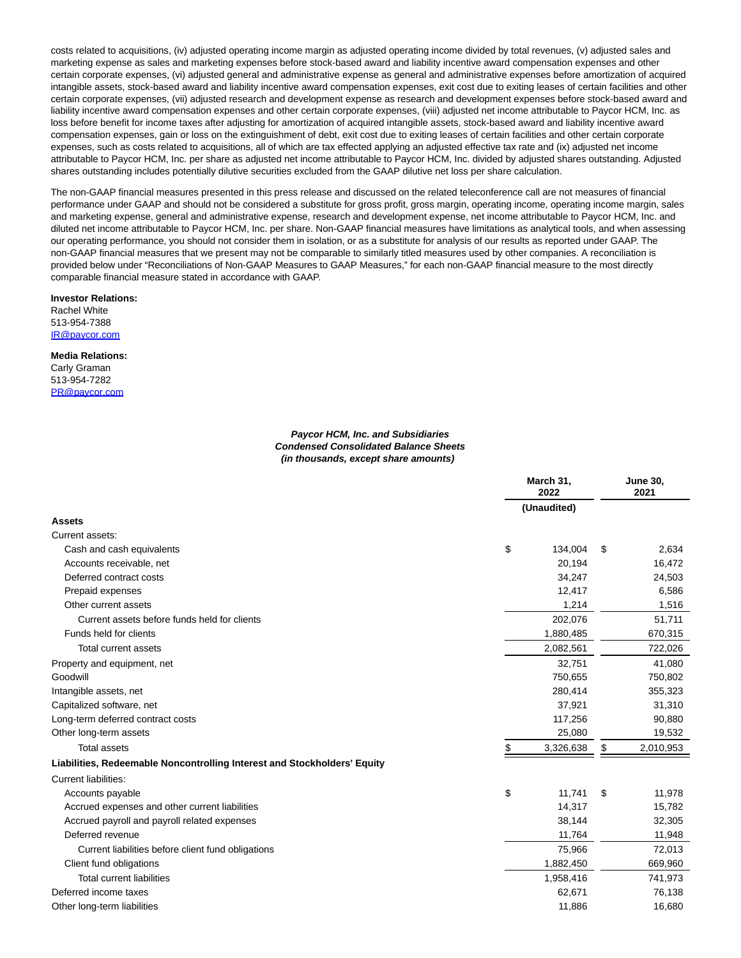costs related to acquisitions, (iv) adjusted operating income margin as adjusted operating income divided by total revenues, (v) adjusted sales and marketing expense as sales and marketing expenses before stock-based award and liability incentive award compensation expenses and other certain corporate expenses, (vi) adjusted general and administrative expense as general and administrative expenses before amortization of acquired intangible assets, stock-based award and liability incentive award compensation expenses, exit cost due to exiting leases of certain facilities and other certain corporate expenses, (vii) adjusted research and development expense as research and development expenses before stock-based award and liability incentive award compensation expenses and other certain corporate expenses, (viii) adjusted net income attributable to Paycor HCM, Inc. as loss before benefit for income taxes after adjusting for amortization of acquired intangible assets, stock-based award and liability incentive award compensation expenses, gain or loss on the extinguishment of debt, exit cost due to exiting leases of certain facilities and other certain corporate expenses, such as costs related to acquisitions, all of which are tax effected applying an adjusted effective tax rate and (ix) adjusted net income attributable to Paycor HCM, Inc. per share as adjusted net income attributable to Paycor HCM, Inc. divided by adjusted shares outstanding. Adjusted shares outstanding includes potentially dilutive securities excluded from the GAAP dilutive net loss per share calculation.

The non-GAAP financial measures presented in this press release and discussed on the related teleconference call are not measures of financial performance under GAAP and should not be considered a substitute for gross profit, gross margin, operating income, operating income margin, sales and marketing expense, general and administrative expense, research and development expense, net income attributable to Paycor HCM, Inc. and diluted net income attributable to Paycor HCM, Inc. per share. Non-GAAP financial measures have limitations as analytical tools, and when assessing our operating performance, you should not consider them in isolation, or as a substitute for analysis of our results as reported under GAAP. The non-GAAP financial measures that we present may not be comparable to similarly titled measures used by other companies. A reconciliation is provided below under "Reconciliations of Non-GAAP Measures to GAAP Measures," for each non-GAAP financial measure to the most directly comparable financial measure stated in accordance with GAAP.

### **Investor Relations:**

Rachel White 513-954-7388 [IR@paycor.com](https://www.globenewswire.com/Tracker?data=TLtKWAqgJGDxSZQcOY2ARYWBheqr9RLZuFdHX0xOIkLudQWmbiFdOoU3L0wUYrJkpGxo_QUkFW7UPkfrECDmAQ==)

## **Media Relations:**

Carly Graman 513-954-7282 [PR@paycor.com](https://www.globenewswire.com/Tracker?data=r9QDE16Mb4kcnDf_oP1vH4isyMvMiltSBdGPSR4rzSBHrS7BV7l5mOsakI5Bo2PZkAH1jZhKJ4C2INyj-5ycGw==)

#### **Paycor HCM, Inc. and Subsidiaries Condensed Consolidated Balance Sheets (in thousands, except share amounts)**

|                                                                          | March 31,<br>2022 |             |    | <b>June 30,</b><br>2021 |
|--------------------------------------------------------------------------|-------------------|-------------|----|-------------------------|
|                                                                          |                   | (Unaudited) |    |                         |
| <b>Assets</b>                                                            |                   |             |    |                         |
| Current assets:                                                          |                   |             |    |                         |
| Cash and cash equivalents                                                | \$                | 134,004     | \$ | 2,634                   |
| Accounts receivable, net                                                 |                   | 20,194      |    | 16,472                  |
| Deferred contract costs                                                  |                   | 34,247      |    | 24,503                  |
| Prepaid expenses                                                         |                   | 12,417      |    | 6,586                   |
| Other current assets                                                     |                   | 1,214       |    | 1,516                   |
| Current assets before funds held for clients                             |                   | 202,076     |    | 51,711                  |
| Funds held for clients                                                   |                   | 1,880,485   |    | 670,315                 |
| Total current assets                                                     |                   | 2,082,561   |    | 722,026                 |
| Property and equipment, net                                              |                   | 32,751      |    | 41,080                  |
| Goodwill                                                                 |                   | 750,655     |    | 750,802                 |
| Intangible assets, net                                                   |                   | 280,414     |    | 355,323                 |
| Capitalized software, net                                                |                   | 37,921      |    | 31,310                  |
| Long-term deferred contract costs                                        |                   | 117,256     |    | 90,880                  |
| Other long-term assets                                                   |                   | 25,080      |    | 19,532                  |
| <b>Total assets</b>                                                      | \$                | 3,326,638   | \$ | 2,010,953               |
| Liabilities, Redeemable Noncontrolling Interest and Stockholders' Equity |                   |             |    |                         |
| <b>Current liabilities:</b>                                              |                   |             |    |                         |
| Accounts payable                                                         | \$                | 11.741      | \$ | 11,978                  |
| Accrued expenses and other current liabilities                           |                   | 14,317      |    | 15,782                  |
| Accrued payroll and payroll related expenses                             |                   | 38,144      |    | 32,305                  |
| Deferred revenue                                                         |                   | 11,764      |    | 11,948                  |
| Current liabilities before client fund obligations                       |                   | 75,966      |    | 72,013                  |
| Client fund obligations                                                  |                   | 1,882,450   |    | 669,960                 |
| <b>Total current liabilities</b>                                         |                   | 1,958,416   |    | 741,973                 |
| Deferred income taxes                                                    |                   | 62,671      |    | 76,138                  |
| Other long-term liabilities                                              |                   | 11,886      |    | 16,680                  |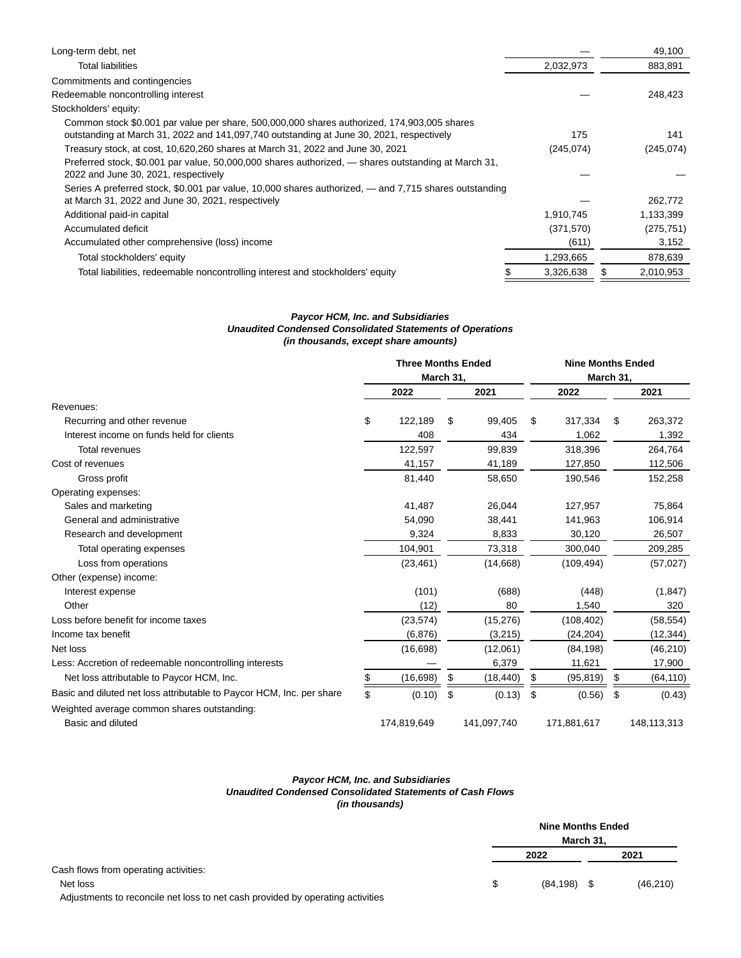| Long-term debt, net                                                                                   |            | 49,100     |
|-------------------------------------------------------------------------------------------------------|------------|------------|
| <b>Total liabilities</b>                                                                              | 2,032,973  | 883,891    |
| Commitments and contingencies                                                                         |            |            |
| Redeemable noncontrolling interest                                                                    |            | 248,423    |
| Stockholders' equity:                                                                                 |            |            |
| Common stock \$0.001 par value per share, 500,000,000 shares authorized, 174,903,005 shares           |            |            |
| outstanding at March 31, 2022 and 141,097,740 outstanding at June 30, 2021, respectively              | 175        | 141        |
| Treasury stock, at cost, 10,620,260 shares at March 31, 2022 and June 30, 2021                        | (245,074)  | (245,074)  |
| Preferred stock, \$0.001 par value, 50,000,000 shares authorized, — shares outstanding at March 31,   |            |            |
| 2022 and June 30, 2021, respectively                                                                  |            |            |
| Series A preferred stock, \$0.001 par value, 10,000 shares authorized, — and 7,715 shares outstanding |            |            |
| at March 31, 2022 and June 30, 2021, respectively                                                     |            | 262,772    |
| Additional paid-in capital                                                                            | 1,910,745  | 1,133,399  |
| Accumulated deficit                                                                                   | (371, 570) | (275, 751) |
| Accumulated other comprehensive (loss) income                                                         | (611)      | 3,152      |
| Total stockholders' equity                                                                            | 1,293,665  | 878,639    |
| Total liabilities, redeemable noncontrolling interest and stockholders' equity                        | 3,326,638  | 2,010,953  |

# **Paycor HCM, Inc. and Subsidiaries Unaudited Condensed Consolidated Statements of Operations (in thousands, except share amounts)**

|                                                                       | <b>Three Months Ended</b><br>March 31, |             |     | <b>Nine Months Ended</b><br>March 31, |                 |    |               |
|-----------------------------------------------------------------------|----------------------------------------|-------------|-----|---------------------------------------|-----------------|----|---------------|
|                                                                       |                                        | 2022        |     | 2021                                  | 2022            |    | 2021          |
| Revenues:                                                             |                                        |             |     |                                       |                 |    |               |
| Recurring and other revenue                                           | \$                                     | 122,189     | \$  | 99,405                                | \$<br>317,334   | \$ | 263,372       |
| Interest income on funds held for clients                             |                                        | 408         |     | 434                                   | 1,062           |    | 1,392         |
| <b>Total revenues</b>                                                 |                                        | 122,597     |     | 99,839                                | 318,396         |    | 264,764       |
| Cost of revenues                                                      |                                        | 41,157      |     | 41,189                                | 127,850         |    | 112,506       |
| Gross profit                                                          |                                        | 81,440      |     | 58,650                                | 190,546         |    | 152,258       |
| Operating expenses:                                                   |                                        |             |     |                                       |                 |    |               |
| Sales and marketing                                                   |                                        | 41,487      |     | 26,044                                | 127,957         |    | 75,864        |
| General and administrative                                            |                                        | 54,090      |     | 38,441                                | 141,963         |    | 106,914       |
| Research and development                                              |                                        | 9,324       |     | 8,833                                 | 30,120          |    | 26,507        |
| Total operating expenses                                              |                                        | 104,901     |     | 73,318                                | 300,040         |    | 209,285       |
| Loss from operations                                                  |                                        | (23, 461)   |     | (14,668)                              | (109, 494)      |    | (57, 027)     |
| Other (expense) income:                                               |                                        |             |     |                                       |                 |    |               |
| Interest expense                                                      |                                        | (101)       |     | (688)                                 | (448)           |    | (1, 847)      |
| Other                                                                 |                                        | (12)        |     | 80                                    | 1,540           |    | 320           |
| Loss before benefit for income taxes                                  |                                        | (23, 574)   |     | (15,276)                              | (108, 402)      |    | (58, 554)     |
| Income tax benefit                                                    |                                        | (6, 876)    |     | (3,215)                               | (24, 204)       |    | (12, 344)     |
| Net loss                                                              |                                        | (16, 698)   |     | (12,061)                              | (84, 198)       |    | (46, 210)     |
| Less: Accretion of redeemable noncontrolling interests                |                                        |             |     | 6,379                                 | 11,621          |    | 17,900        |
| Net loss attributable to Paycor HCM, Inc.                             |                                        | (16, 698)   | \$. | (18, 440)                             | \$<br>(95, 819) | \$ | (64, 110)     |
| Basic and diluted net loss attributable to Paycor HCM, Inc. per share | \$                                     | (0.10)      | \$  | (0.13)                                | \$<br>(0.56)    | \$ | (0.43)        |
| Weighted average common shares outstanding:                           |                                        |             |     |                                       |                 |    |               |
| Basic and diluted                                                     |                                        | 174,819,649 |     | 141,097,740                           | 171,881,617     |    | 148, 113, 313 |

#### **Paycor HCM, Inc. and Subsidiaries Unaudited Condensed Consolidated Statements of Cash Flows (in thousands)**

|                                                                                | <b>Nine Months Ended</b> | March 31. |           |
|--------------------------------------------------------------------------------|--------------------------|-----------|-----------|
|                                                                                | 2022                     |           | 2021      |
| Cash flows from operating activities:                                          |                          |           |           |
| Net loss                                                                       | $(84, 198)$ \$           |           | (46, 210) |
| Adjustments to reconcile net loss to net cash provided by operating activities |                          |           |           |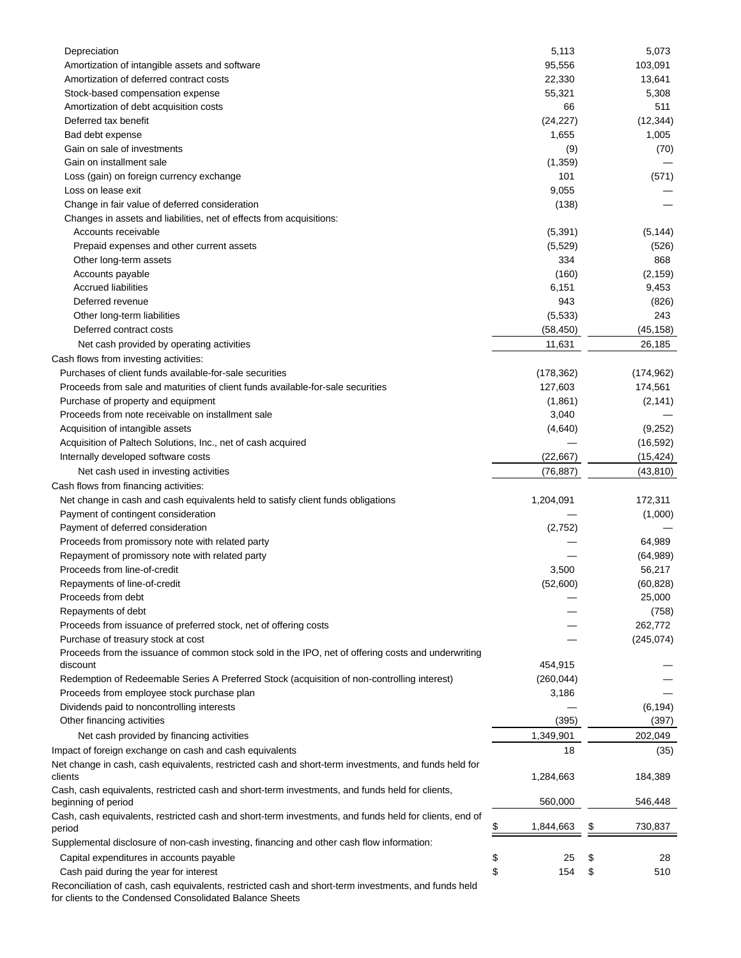| Depreciation                                                                                                           | 5,113      | 5,073         |
|------------------------------------------------------------------------------------------------------------------------|------------|---------------|
| Amortization of intangible assets and software                                                                         | 95,556     | 103,091       |
| Amortization of deferred contract costs                                                                                | 22,330     | 13,641        |
| Stock-based compensation expense                                                                                       | 55,321     | 5,308         |
| Amortization of debt acquisition costs                                                                                 | 66         | 511           |
| Deferred tax benefit                                                                                                   | (24, 227)  | (12, 344)     |
| Bad debt expense                                                                                                       | 1,655      | 1,005         |
| Gain on sale of investments                                                                                            | (9)        | (70)          |
| Gain on installment sale                                                                                               | (1,359)    |               |
| Loss (gain) on foreign currency exchange                                                                               | 101        | (571)         |
| Loss on lease exit                                                                                                     | 9,055      |               |
| Change in fair value of deferred consideration                                                                         | (138)      |               |
| Changes in assets and liabilities, net of effects from acquisitions:                                                   |            |               |
| Accounts receivable                                                                                                    | (5, 391)   | (5, 144)      |
| Prepaid expenses and other current assets                                                                              | (5,529)    | (526)         |
| Other long-term assets                                                                                                 | 334        | 868           |
| Accounts payable                                                                                                       | (160)      | (2, 159)      |
| <b>Accrued liabilities</b>                                                                                             | 6,151      | 9,453         |
| Deferred revenue                                                                                                       | 943        | (826)         |
| Other long-term liabilities                                                                                            | (5,533)    | 243           |
| Deferred contract costs                                                                                                | (58, 450)  | (45, 158)     |
| Net cash provided by operating activities                                                                              | 11,631     | 26,185        |
|                                                                                                                        |            |               |
| Cash flows from investing activities:                                                                                  |            |               |
| Purchases of client funds available-for-sale securities                                                                | (178, 362) | (174, 962)    |
| Proceeds from sale and maturities of client funds available-for-sale securities                                        | 127,603    | 174,561       |
| Purchase of property and equipment                                                                                     | (1,861)    | (2, 141)      |
| Proceeds from note receivable on installment sale                                                                      | 3,040      |               |
| Acquisition of intangible assets                                                                                       | (4,640)    | (9,252)       |
| Acquisition of Paltech Solutions, Inc., net of cash acquired                                                           |            | (16, 592)     |
| Internally developed software costs                                                                                    | (22, 667)  | (15, 424)     |
| Net cash used in investing activities                                                                                  | (76, 887)  | (43, 810)     |
| Cash flows from financing activities:                                                                                  |            |               |
| Net change in cash and cash equivalents held to satisfy client funds obligations                                       | 1,204,091  | 172,311       |
| Payment of contingent consideration                                                                                    |            | (1,000)       |
| Payment of deferred consideration                                                                                      | (2,752)    |               |
| Proceeds from promissory note with related party                                                                       |            | 64,989        |
| Repayment of promissory note with related party                                                                        |            | (64, 989)     |
| Proceeds from line-of-credit                                                                                           | 3,500      | 56,217        |
| Repayments of line-of-credit                                                                                           | (52,600)   | (60, 828)     |
| Proceeds from debt                                                                                                     |            | 25,000        |
| Repayments of debt                                                                                                     |            | (758)         |
| Proceeds from issuance of preferred stock, net of offering costs                                                       |            | 262,772       |
| Purchase of treasury stock at cost                                                                                     |            | (245, 074)    |
| Proceeds from the issuance of common stock sold in the IPO, net of offering costs and underwriting                     |            |               |
| discount                                                                                                               | 454,915    |               |
| Redemption of Redeemable Series A Preferred Stock (acquisition of non-controlling interest)                            | (260, 044) |               |
| Proceeds from employee stock purchase plan                                                                             | 3,186      |               |
| Dividends paid to noncontrolling interests                                                                             |            | (6, 194)      |
| Other financing activities                                                                                             | (395)      | (397)         |
| Net cash provided by financing activities                                                                              | 1,349,901  | 202,049       |
| Impact of foreign exchange on cash and cash equivalents                                                                | 18         | (35)          |
| Net change in cash, cash equivalents, restricted cash and short-term investments, and funds held for                   |            |               |
| clients                                                                                                                | 1,284,663  | 184,389       |
| Cash, cash equivalents, restricted cash and short-term investments, and funds held for clients,<br>beginning of period | 560,000    | 546,448       |
| Cash, cash equivalents, restricted cash and short-term investments, and funds held for clients, end of                 |            |               |
| period                                                                                                                 | 1,844,663  | \$<br>730,837 |
| Supplemental disclosure of non-cash investing, financing and other cash flow information:                              |            |               |
| Capital expenditures in accounts payable                                                                               | \$<br>25   | \$<br>28      |
| Cash paid during the year for interest                                                                                 | \$<br>154  | \$<br>510     |
| Reconciliation of cash, cash equivalents, restricted cash and short-term investments, and funds held                   |            |               |
|                                                                                                                        |            |               |

for clients to the Condensed Consolidated Balance Sheets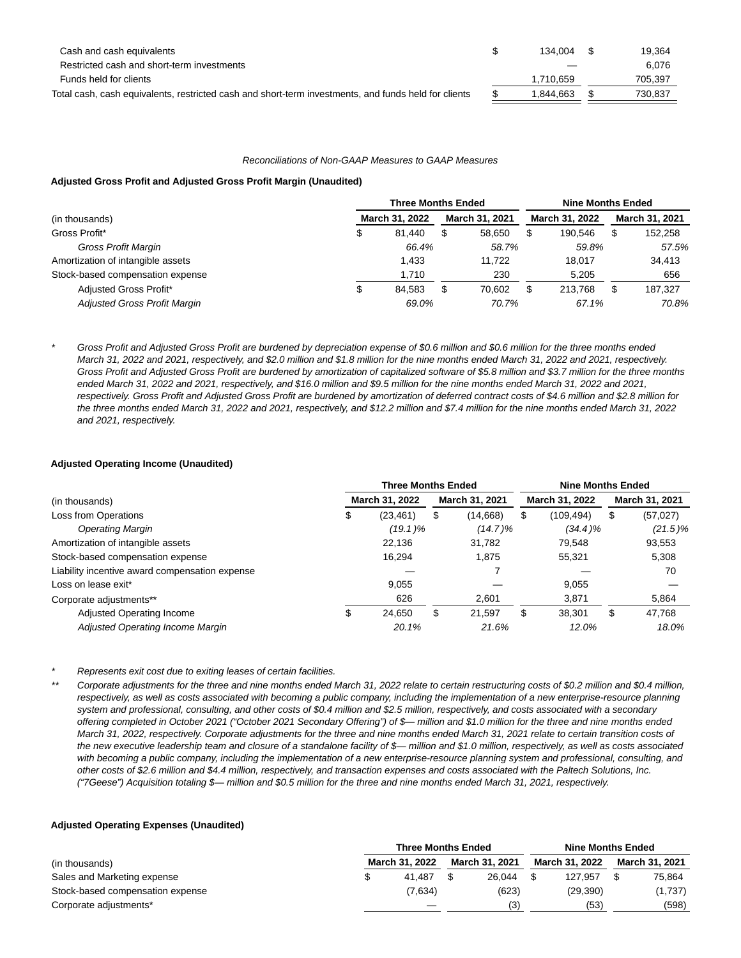| Cash and cash equivalents                                                                            | 134.004   | 19.364  |
|------------------------------------------------------------------------------------------------------|-----------|---------|
| Restricted cash and short-term investments                                                           |           | 6.076   |
| Funds held for clients                                                                               | 1.710.659 | 705.397 |
| Total cash, cash equivalents, restricted cash and short-term investments, and funds held for clients | .844.663  | 730.837 |

# Reconciliations of Non-GAAP Measures to GAAP Measures

# **Adjusted Gross Profit and Adjusted Gross Profit Margin (Unaudited)**

|                                     |    | <b>Three Months Ended</b> |    |                | <b>Nine Months Ended</b> |                |   |                |  |  |
|-------------------------------------|----|---------------------------|----|----------------|--------------------------|----------------|---|----------------|--|--|
| (in thousands)                      |    | March 31, 2022            |    | March 31, 2021 |                          | March 31, 2022 |   | March 31, 2021 |  |  |
| Gross Profit*                       | \$ | 81.440                    |    | 58.650         | S                        | 190.546        | S | 152.258        |  |  |
| Gross Profit Margin                 |    | 66.4%                     |    | 58.7%          |                          | 59.8%          |   | 57.5%          |  |  |
| Amortization of intangible assets   |    | 1.433                     |    | 11.722         |                          | 18.017         |   | 34.413         |  |  |
| Stock-based compensation expense    |    | 1,710                     |    | 230            |                          | 5.205          |   | 656            |  |  |
| Adjusted Gross Profit*              | J  | 84.583                    | \$ | 70.602         | S                        | 213.768        | S | 187.327        |  |  |
| <b>Adjusted Gross Profit Margin</b> |    | 69.0%                     |    | 70.7%          |                          | 67.1%          |   | 70.8%          |  |  |

Gross Profit and Adjusted Gross Profit are burdened by depreciation expense of \$0.6 million and \$0.6 million for the three months ended March 31, 2022 and 2021, respectively, and \$2.0 million and \$1.8 million for the nine months ended March 31, 2022 and 2021, respectively. Gross Profit and Adjusted Gross Profit are burdened by amortization of capitalized software of \$5.8 million and \$3.7 million for the three months ended March 31, 2022 and 2021, respectively, and \$16.0 million and \$9.5 million for the nine months ended March 31, 2022 and 2021, respectively. Gross Profit and Adjusted Gross Profit are burdened by amortization of deferred contract costs of \$4.6 million and \$2.8 million for the three months ended March 31, 2022 and 2021, respectively, and \$12.2 million and \$7.4 million for the nine months ended March 31, 2022 and 2021, respectively.

# **Adjusted Operating Income (Unaudited)**

|                                                |   | <b>Three Months Ended</b> |    |                | <b>Nine Months Ended</b> |                |    |                |  |
|------------------------------------------------|---|---------------------------|----|----------------|--------------------------|----------------|----|----------------|--|
| (in thousands)                                 |   | March 31, 2022            |    | March 31, 2021 |                          | March 31, 2022 |    | March 31, 2021 |  |
| Loss from Operations                           | S | (23, 461)                 | S  | (14,668)       | S                        | (109, 494)     | S  | (57, 027)      |  |
| <b>Operating Margin</b>                        |   | $(19.1)\%$                |    | $(14.7)\%$     |                          | $(34.4)\%$     |    | $(21.5)\%$     |  |
| Amortization of intangible assets              |   | 22.136                    |    | 31.782         |                          | 79.548         |    | 93,553         |  |
| Stock-based compensation expense               |   | 16.294                    |    | 1.875          |                          | 55,321         |    | 5,308          |  |
| Liability incentive award compensation expense |   |                           |    |                |                          |                |    | 70             |  |
| Loss on lease exit*                            |   | 9.055                     |    |                |                          | 9,055          |    |                |  |
| Corporate adjustments**                        |   | 626                       |    | 2,601          |                          | 3,871          |    | 5,864          |  |
| <b>Adjusted Operating Income</b>               | S | 24.650                    | \$ | 21.597         | S                        | 38,301         | \$ | 47,768         |  |
| Adjusted Operating Income Margin               |   | 20.1%                     |    | 21.6%          |                          | 12.0%          |    | 18.0%          |  |

Represents exit cost due to exiting leases of certain facilities.

Corporate adjustments for the three and nine months ended March 31, 2022 relate to certain restructuring costs of \$0.2 million and \$0.4 million, respectively, as well as costs associated with becoming a public company, including the implementation of a new enterprise-resource planning system and professional, consulting, and other costs of \$0.4 million and \$2.5 million, respectively, and costs associated with a secondary offering completed in October 2021 ("October 2021 Secondary Offering") of \$— million and \$1.0 million for the three and nine months ended March 31, 2022, respectively. Corporate adjustments for the three and nine months ended March 31, 2021 relate to certain transition costs of the new executive leadership team and closure of a standalone facility of \$— million and \$1.0 million, respectively, as well as costs associated with becoming a public company, including the implementation of a new enterprise-resource planning system and professional, consulting, and other costs of \$2.6 million and \$4.4 million, respectively, and transaction expenses and costs associated with the Paltech Solutions, Inc. ("7Geese") Acquisition totaling \$— million and \$0.5 million for the three and nine months ended March 31, 2021, respectively.

# **Adjusted Operating Expenses (Unaudited)**

|                                  | <b>Three Months Ended</b> |                       |  | <b>Nine Months Ended</b> |  |                       |
|----------------------------------|---------------------------|-----------------------|--|--------------------------|--|-----------------------|
| (in thousands)                   | March 31, 2022            | <b>March 31, 2021</b> |  | March 31, 2022           |  | <b>March 31, 2021</b> |
| Sales and Marketing expense      | 41.487                    | 26.044                |  | 127.957                  |  | 75,864                |
| Stock-based compensation expense | (7.634)                   | (623)                 |  | (29, 390)                |  | (1,737)               |
| Corporate adjustments*           | _                         | (3)                   |  | (53)                     |  | (598)                 |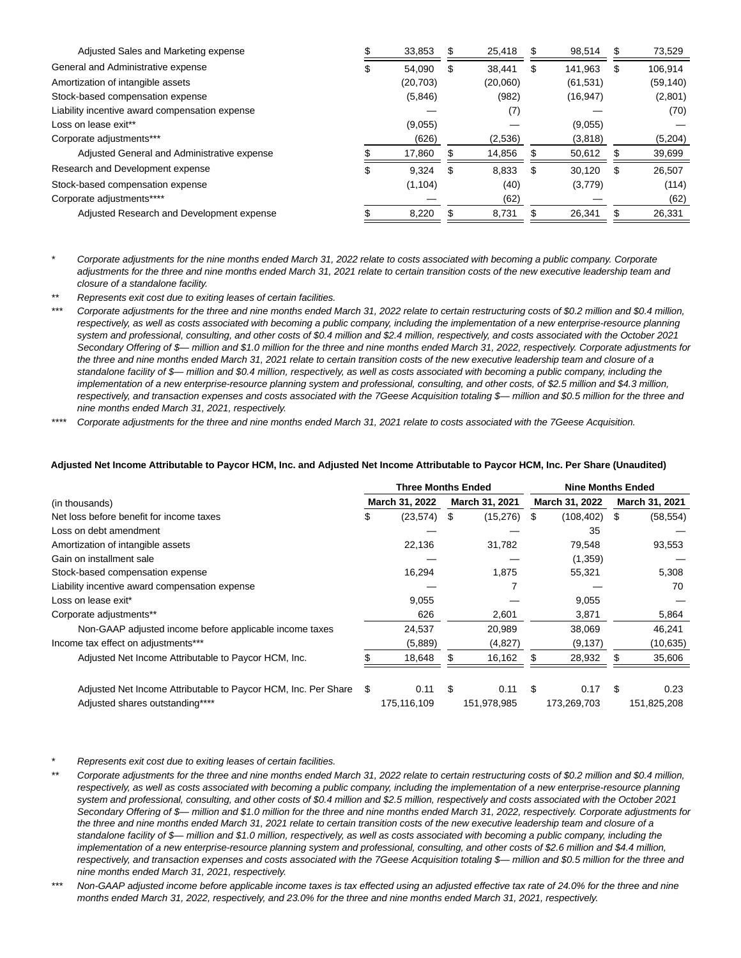| Adjusted Sales and Marketing expense           |   | 33,853    |   | 25,418   | S.  | 98,514    |     | 73,529    |
|------------------------------------------------|---|-----------|---|----------|-----|-----------|-----|-----------|
| General and Administrative expense             |   | 54.090    | S | 38.441   | S   | 141.963   | S   | 106,914   |
| Amortization of intangible assets              |   | (20, 703) |   | (20,060) |     | (61, 531) |     | (59, 140) |
| Stock-based compensation expense               |   | (5,846)   |   | (982)    |     | (16, 947) |     | (2,801)   |
| Liability incentive award compensation expense |   |           |   | (7)      |     |           |     | (70)      |
| Loss on lease exit**                           |   | (9,055)   |   |          |     | (9.055)   |     |           |
| Corporate adjustments***                       |   | (626)     |   | (2,536)  |     | (3,818)   |     | (5,204)   |
| Adjusted General and Administrative expense    |   | 17,860    |   | 14,856   |     | 50,612    |     | 39,699    |
| Research and Development expense               | S | 9.324     | S | 8.833    | \$. | 30.120    | \$. | 26.507    |
| Stock-based compensation expense               |   | (1, 104)  |   | (40)     |     | (3,779)   |     | (114)     |
| Corporate adjustments****                      |   |           |   | (62)     |     |           |     | (62)      |
| Adjusted Research and Development expense      |   | 8.220     |   | 8.731    | S   | 26.341    | S   | 26,331    |

Corporate adjustments for the nine months ended March 31, 2022 relate to costs associated with becoming a public company. Corporate adjustments for the three and nine months ended March 31, 2021 relate to certain transition costs of the new executive leadership team and closure of a standalone facility.

Represents exit cost due to exiting leases of certain facilities.

\*\*\* Corporate adjustments for the three and nine months ended March 31, 2022 relate to certain restructuring costs of \$0.2 million and \$0.4 million, respectively, as well as costs associated with becoming a public company, including the implementation of a new enterprise-resource planning system and professional, consulting, and other costs of \$0.4 million and \$2.4 million, respectively, and costs associated with the October 2021 Secondary Offering of \$- million and \$1.0 million for the three and nine months ended March 31, 2022, respectively. Corporate adjustments for the three and nine months ended March 31, 2021 relate to certain transition costs of the new executive leadership team and closure of a standalone facility of \$— million and \$0.4 million, respectively, as well as costs associated with becoming a public company, including the implementation of a new enterprise-resource planning system and professional, consulting, and other costs, of \$2.5 million and \$4.3 million, respectively, and transaction expenses and costs associated with the 7Geese Acquisition totaling \$— million and \$0.5 million for the three and nine months ended March 31, 2021, respectively.

\*\*\*\* Corporate adjustments for the three and nine months ended March 31, 2021 relate to costs associated with the 7Geese Acquisition.

## **Adjusted Net Income Attributable to Paycor HCM, Inc. and Adjusted Net Income Attributable to Paycor HCM, Inc. Per Share (Unaudited)**

|                                                                |                | <b>Three Months Ended</b> |                | <b>Nine Months Ended</b> |                |    |                |  |  |  |
|----------------------------------------------------------------|----------------|---------------------------|----------------|--------------------------|----------------|----|----------------|--|--|--|
| (in thousands)                                                 | March 31, 2022 |                           | March 31, 2021 |                          | March 31, 2022 |    | March 31, 2021 |  |  |  |
| Net loss before benefit for income taxes                       |                | $(23,574)$ \$             | (15, 276)      | S                        | (108, 402)     | S  | (58, 554)      |  |  |  |
| Loss on debt amendment                                         |                |                           |                |                          | 35             |    |                |  |  |  |
| Amortization of intangible assets                              |                | 22,136                    | 31,782         |                          | 79,548         |    | 93,553         |  |  |  |
| Gain on installment sale                                       |                |                           |                |                          | (1,359)        |    |                |  |  |  |
| Stock-based compensation expense                               |                | 16,294                    | 1,875          |                          | 55,321         |    | 5,308          |  |  |  |
| Liability incentive award compensation expense                 |                |                           |                |                          |                |    | 70             |  |  |  |
| Loss on lease exit*                                            |                | 9,055                     |                |                          | 9,055          |    |                |  |  |  |
| Corporate adjustments**                                        |                | 626                       | 2,601          |                          | 3,871          |    | 5,864          |  |  |  |
| Non-GAAP adjusted income before applicable income taxes        |                | 24,537                    | 20,989         |                          | 38,069         |    | 46,241         |  |  |  |
| Income tax effect on adjustments***                            |                | (5,889)                   | (4,827)        |                          | (9, 137)       |    | (10, 635)      |  |  |  |
| Adjusted Net Income Attributable to Paycor HCM, Inc.           |                | 18,648                    | 16,162         |                          | 28,932         |    | 35,606         |  |  |  |
| Adjusted Net Income Attributable to Paycor HCM, Inc. Per Share | S              | 0.11                      | \$<br>0.11     | \$                       | 0.17           | \$ | 0.23           |  |  |  |
| Adjusted shares outstanding****                                |                | 175,116,109               | 151,978,985    |                          | 173,269,703    |    | 151,825,208    |  |  |  |

#### Represents exit cost due to exiting leases of certain facilities.

Corporate adjustments for the three and nine months ended March 31, 2022 relate to certain restructuring costs of \$0.2 million and \$0.4 million, respectively, as well as costs associated with becoming a public company, including the implementation of a new enterprise-resource planning system and professional, consulting, and other costs of \$0.4 million and \$2.5 million, respectively and costs associated with the October 2021 Secondary Offering of \$— million and \$1.0 million for the three and nine months ended March 31, 2022, respectively. Corporate adjustments for the three and nine months ended March 31, 2021 relate to certain transition costs of the new executive leadership team and closure of a standalone facility of \$— million and \$1.0 million, respectively, as well as costs associated with becoming a public company, including the implementation of a new enterprise-resource planning system and professional, consulting, and other costs of \$2.6 million and \$4.4 million, respectively, and transaction expenses and costs associated with the 7Geese Acquisition totaling \$— million and \$0.5 million for the three and nine months ended March 31, 2021, respectively.

Non-GAAP adjusted income before applicable income taxes is tax effected using an adjusted effective tax rate of 24.0% for the three and nine months ended March 31, 2022, respectively, and 23.0% for the three and nine months ended March 31, 2021, respectively.